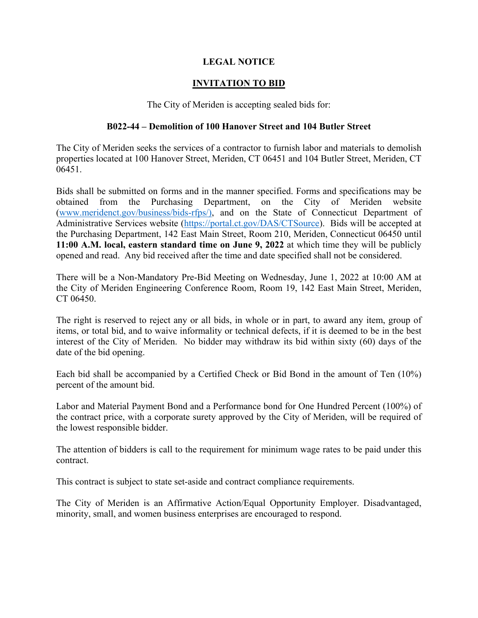## **LEGAL NOTICE**

## **INVITATION TO BID**

The City of Meriden is accepting sealed bids for:

## **B022-44 – Demolition of 100 Hanover Street and 104 Butler Street**

The City of Meriden seeks the services of a contractor to furnish labor and materials to demolish properties located at 100 Hanover Street, Meriden, CT 06451 and 104 Butler Street, Meriden, CT 06451.

Bids shall be submitted on forms and in the manner specified. Forms and specifications may be obtained from the Purchasing Department, on the City of Meriden website [\(www.meridenct.gov/business/bids-rfps/\),](http://www.meridenct.gov/business/bids-rfps/)or) and on the State of Connecticut Department of Administrative Services website [\(https://portal.ct.gov/DAS/CTSource\)](https://portal.ct.gov/DAS/CTSource). Bids will be accepted at the Purchasing Department, 142 East Main Street, Room 210, Meriden, Connecticut 06450 until **11:00 A.M. local, eastern standard time on June 9, 2022** at which time they will be publicly opened and read. Any bid received after the time and date specified shall not be considered.

There will be a Non-Mandatory Pre-Bid Meeting on Wednesday, June 1, 2022 at 10:00 AM at the City of Meriden Engineering Conference Room, Room 19, 142 East Main Street, Meriden, CT 06450.

The right is reserved to reject any or all bids, in whole or in part, to award any item, group of items, or total bid, and to waive informality or technical defects, if it is deemed to be in the best interest of the City of Meriden. No bidder may withdraw its bid within sixty (60) days of the date of the bid opening.

Each bid shall be accompanied by a Certified Check or Bid Bond in the amount of Ten (10%) percent of the amount bid.

Labor and Material Payment Bond and a Performance bond for One Hundred Percent (100%) of the contract price, with a corporate surety approved by the City of Meriden, will be required of the lowest responsible bidder.

The attention of bidders is call to the requirement for minimum wage rates to be paid under this contract.

This contract is subject to state set-aside and contract compliance requirements.

The City of Meriden is an Affirmative Action/Equal Opportunity Employer. Disadvantaged, minority, small, and women business enterprises are encouraged to respond.